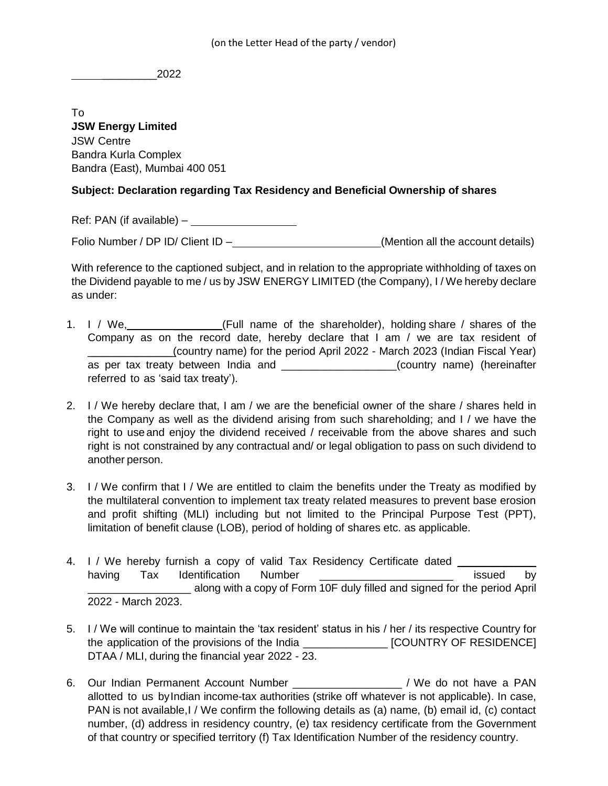\_\_\_\_\_\_\_\_\_2022

To **JSW Energy Limited** JSW Centre Bandra Kurla Complex Bandra (East), Mumbai 400 051

## **Subject: Declaration regarding Tax Residency and Beneficial Ownership of shares**

Ref: PAN (if available) –

Folio Number / DP ID/ Client ID – (Mention all the account details)

With reference to the captioned subject, and in relation to the appropriate withholding of taxes on the Dividend payable to me / us by JSW ENERGY LIMITED (the Company), I / We hereby declare as under:

- 1. I / We, \_\_\_\_\_\_\_\_\_\_\_\_\_(Full name of the shareholder), holding share / shares of the Company as on the record date, hereby declare that I am / we are tax resident of \_\_\_\_\_\_\_\_\_\_\_\_\_\_\_\_\_\_\_\_\_\_\_\_\_\_\_ (country name) for the period April 2022 - March 2023 (Indian Fiscal Year) as per tax treaty between India and \_\_\_\_\_\_\_\_\_\_\_\_\_\_\_\_\_\_(country name) (hereinafter referred to as 'said tax treaty').
- 2. I / We hereby declare that, I am / we are the beneficial owner of the share / shares held in the Company as well as the dividend arising from such shareholding; and I / we have the right to use and enjoy the dividend received / receivable from the above shares and such right is not constrained by any contractual and/ or legal obligation to pass on such dividend to another person.
- 3. I / We confirm that I / We are entitled to claim the benefits under the Treaty as modified by the multilateral convention to implement tax treaty related measures to prevent base erosion and profit shifting (MLI) including but not limited to the Principal Purpose Test (PPT), limitation of benefit clause (LOB), period of holding of shares etc. as applicable.
- 4. I / We hereby furnish a copy of valid Tax Residency Certificate dated \_\_\_\_\_\_\_ having Tax Identification Number **Example 1** and the issued by \_\_\_\_\_\_\_\_\_\_\_\_\_\_\_\_\_ along with a copy of Form 10F duly filled and signed for the period April 2022 - March 2023.
- 5. I / We will continue to maintain the 'tax resident' status in his / her / its respective Country for the application of the provisions of the India \_\_\_\_\_\_\_\_\_\_\_\_\_\_ [COUNTRY OF RESIDENCE] DTAA / MLI, during the financial year 2022 - 23.
- 6. Our Indian Permanent Account Number  $\blacksquare$  / We do not have a PAN allotted to us byIndian income-tax authorities (strike off whatever is not applicable). In case, PAN is not available,I / We confirm the following details as (a) name, (b) email id, (c) contact number, (d) address in residency country, (e) tax residency certificate from the Government of that country or specified territory (f) Tax Identification Number of the residency country.